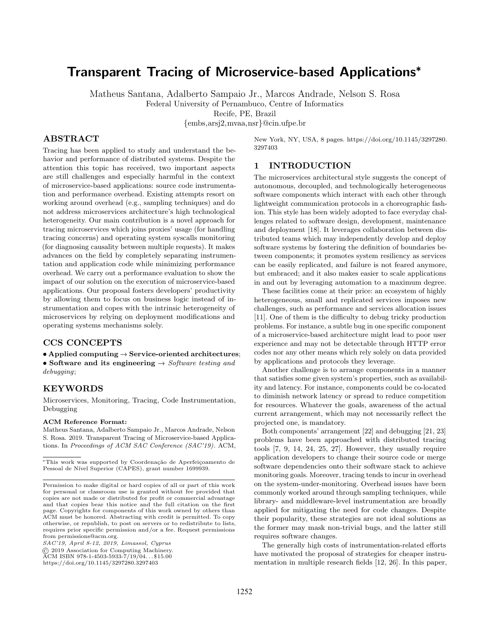# Transparent Tracing of Microservice-based Applications✯

Matheus Santana, Adalberto Sampaio Jr., Marcos Andrade, Nelson S. Rosa

Federal University of Pernambuco, Centre of Informatics

Recife, PE, Brazil

{embs,arsj2,mvaa,nsr}@cin.ufpe.br

# ABSTRACT

Tracing has been applied to study and understand the behavior and performance of distributed systems. Despite the attention this topic has received, two important aspects are still challenges and especially harmful in the context of microservice-based applications: source code instrumentation and performance overhead. Existing attempts resort on working around overhead (e.g., sampling techniques) and do not address microservices architecture's high technological heterogeneity. Our main contribution is a novel approach for tracing microservices which joins proxies' usage (for handling tracing concerns) and operating system syscalls monitoring (for diagnosing causality between multiple requests). It makes advances on the field by completely separating instrumentation and application code while minimizing performance overhead. We carry out a performance evaluation to show the impact of our solution on the execution of microservice-based applications. Our proposal fosters developers' productivity by allowing them to focus on business logic instead of instrumentation and copes with the intrinsic heterogeneity of microservices by relying on deployment modifications and operating systems mechanisms solely.

# CCS CONCEPTS

• Applied computing  $\rightarrow$  Service-oriented architectures; • Software and its engineering  $\rightarrow$  Software testing and debugging;

# KEYWORDS

Microservices, Monitoring, Tracing, Code Instrumentation, Debugging

#### ACM Reference Format:

Matheus Santana, Adalberto Sampaio Jr., Marcos Andrade, Nelson S. Rosa. 2019. Transparent Tracing of Microservice-based Applications. In Proceedings of ACM SAC Conference (SAC'19). ACM,

✯This work was supported by Coordena¸c˜ao de Aperfei¸coamento de Pessoal de Nível Superior (CAPES), grant number 1699939.

*SAC'19, April 8-12, 2019, Limassol, Cyprus*

https://doi.org/10.1145/3297280.3297403

New York, NY, USA, 8 pages. https://doi.org/10.1145/3297280. 3297403

# 1 INTRODUCTION

The microservices architectural style suggests the concept of autonomous, decoupled, and technologically heterogeneous software components which interact with each other through lightweight communication protocols in a choreographic fashion. This style has been widely adopted to face everyday challenges related to software design, development, maintenance and deployment [18]. It leverages collaboration between distributed teams which may independently develop and deploy software systems by fostering the definition of boundaries between components; it promotes system resiliency as services can be easily replicated, and failure is not feared anymore, but embraced; and it also makes easier to scale applications in and out by leveraging automation to a maximum degree.

These facilities come at their price: an ecosystem of highly heterogeneous, small and replicated services imposes new challenges, such as performance and services allocation issues [11]. One of them is the difficulty to debug tricky production problems. For instance, a subtle bug in one specific component of a microservice-based architecture might lead to poor user experience and may not be detectable through HTTP error codes nor any other means which rely solely on data provided by applications and protocols they leverage.

Another challenge is to arrange components in a manner that satisfies some given system's properties, such as availability and latency. For instance, components could be co-located to diminish network latency or spread to reduce competition for resources. Whatever the goals, awareness of the actual current arrangement, which may not necessarily reflect the projected one, is mandatory.

Both components' arrangement [22] and debugging [21, 23] problems have been approached with distributed tracing tools [7, 9, 14, 24, 25, 27]. However, they usually require application developers to change their source code or merge software dependencies onto their software stack to achieve monitoring goals. Moreover, tracing tends to incur in overhead on the system-under-monitoring. Overhead issues have been commonly worked around through sampling techniques, while library- and middleware-level instrumentation are broadly applied for mitigating the need for code changes. Despite their popularity, these strategies are not ideal solutions as the former may mask non-trivial bugs, and the latter still requires software changes.

The generally high costs of instrumentation-related efforts have motivated the proposal of strategies for cheaper instrumentation in multiple research fields [12, 26]. In this paper,

Permission to make digital or hard copies of all or part of this work for personal or classroom use is granted without fee provided that copies are not made or distributed for profit or commercial advantage and that copies bear this notice and the full citation on the first page. Copyrights for components of this work owned by others than ACM must be honored. Abstracting with credit is permitted. To copy otherwise, or republish, to post on servers or to redistribute to lists, requires prior specific permission and/or a fee. Request permissions from permissions@acm.org.

<sup>➞</sup> 2019 Association for Computing Machinery. ACM ISBN 978-1-4503-5933-7/19/04. . . ✩15.00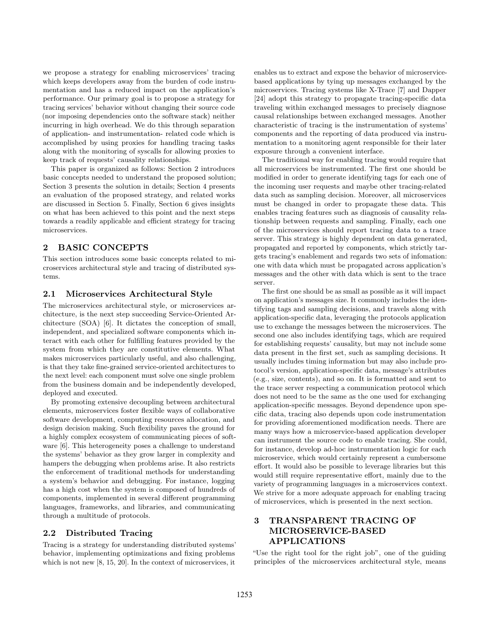we propose a strategy for enabling microservices' tracing which keeps developers away from the burden of code instrumentation and has a reduced impact on the application's performance. Our primary goal is to propose a strategy for tracing services' behavior without changing their source code (nor imposing dependencies onto the software stack) neither incurring in high overhead. We do this through separation of application- and instrumentation- related code which is accomplished by using proxies for handling tracing tasks along with the monitoring of syscalls for allowing proxies to keep track of requests' causality relationships.

This paper is organized as follows: Section 2 introduces basic concepts needed to understand the proposed solution; Section 3 presents the solution in details; Section 4 presents an evaluation of the proposed strategy, and related works are discussed in Section 5. Finally, Section 6 gives insights on what has been achieved to this point and the next steps towards a readily applicable and efficient strategy for tracing microservices.

# 2 BASIC CONCEPTS

This section introduces some basic concepts related to microservices architectural style and tracing of distributed systems.

#### 2.1 Microservices Architectural Style

The microservices architectural style, or microservices architecture, is the next step succeeding Service-Oriented Architecture (SOA) [6]. It dictates the conception of small, independent, and specialized software components which interact with each other for fulfilling features provided by the system from which they are constitutive elements. What makes microservices particularly useful, and also challenging, is that they take fine-grained service-oriented architectures to the next level: each component must solve one single problem from the business domain and be independently developed, deployed and executed.

By promoting extensive decoupling between architectural elements, microservices foster flexible ways of collaborative software development, computing resources allocation, and design decision making. Such flexibility paves the ground for a highly complex ecosystem of communicating pieces of software [6]. This heterogeneity poses a challenge to understand the systems' behavior as they grow larger in complexity and hampers the debugging when problems arise. It also restricts the enforcement of traditional methods for understanding a system's behavior and debugging. For instance, logging has a high cost when the system is composed of hundreds of components, implemented in several different programming languages, frameworks, and libraries, and communicating through a multitude of protocols.

#### 2.2 Distributed Tracing

Tracing is a strategy for understanding distributed systems' behavior, implementing optimizations and fixing problems which is not new [8, 15, 20]. In the context of microservices, it

enables us to extract and expose the behavior of microservicebased applications by tying up messages exchanged by the microservices. Tracing systems like X-Trace [7] and Dapper [24] adopt this strategy to propagate tracing-specific data traveling within exchanged messages to precisely diagnose causal relationships between exchanged messages. Another characteristic of tracing is the instrumentation of systems' components and the reporting of data produced via instrumentation to a monitoring agent responsible for their later exposure through a convenient interface.

The traditional way for enabling tracing would require that all microservices be instrumented. The first one should be modified in order to generate identifying tags for each one of the incoming user requests and maybe other tracing-related data such as sampling decision. Moreover, all microservices must be changed in order to propagate these data. This enables tracing features such as diagnosis of causality relationship between requests and sampling. Finally, each one of the microservices should report tracing data to a trace server. This strategy is highly dependent on data generated, propagated and reported by components, which strictly targets tracing's enablement and regards two sets of infomation: one with data which must be propagated across application's messages and the other with data which is sent to the trace server.

The first one should be as small as possible as it will impact on application's messages size. It commonly includes the identifying tags and sampling decisions, and travels along with application-specific data, leveraging the protocols application use to exchange the messages between the microservices. The second one also includes identifying tags, which are required for establishing requests' causality, but may not include some data present in the first set, such as sampling decisions. It usually includes timing information but may also include protocol's version, application-specific data, message's attributes (e.g., size, contents), and so on. It is formatted and sent to the trace server respecting a communication protocol which does not need to be the same as the one used for exchanging application-specific messages. Beyond dependence upon specific data, tracing also depends upon code instrumentation for providing aforementioned modification needs. There are many ways how a microservice-based application developer can instrument the source code to enable tracing. She could, for instance, develop ad-hoc instrumentation logic for each microservice, which would certainly represent a cumbersome effort. It would also be possible to leverage libraries but this would still require representative effort, mainly due to the variety of programming languages in a microservices context. We strive for a more adequate approach for enabling tracing of microservices, which is presented in the next section.

# 3 TRANSPARENT TRACING OF MICROSERVICE-BASED APPLICATIONS

"Use the right tool for the right job", one of the guiding principles of the microservices architectural style, means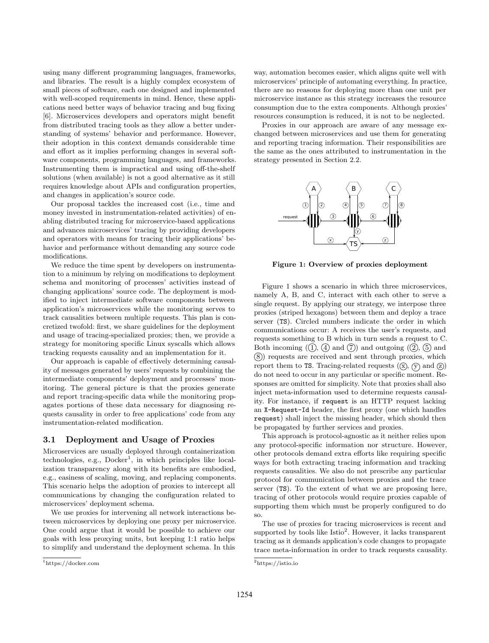using many different programming languages, frameworks, and libraries. The result is a highly complex ecosystem of small pieces of software, each one designed and implemented with well-scoped requirements in mind. Hence, these applications need better ways of behavior tracing and bug fixing [6]. Microservices developers and operators might benefit from distributed tracing tools as they allow a better understanding of systems' behavior and performance. However, their adoption in this context demands considerable time and effort as it implies performing changes in several software components, programming languages, and frameworks. Instrumenting them is impractical and using off-the-shelf solutions (when available) is not a good alternative as it still requires knowledge about APIs and configuration properties, and changes in application's source code.

Our proposal tackles the increased cost (i.e., time and money invested in instrumentation-related activities) of enabling distributed tracing for microservice-based applications and advances microservices' tracing by providing developers and operators with means for tracing their applications' behavior and performance without demanding any source code modifications.

We reduce the time spent by developers on instrumentation to a minimum by relying on modifications to deployment schema and monitoring of processes' activities instead of changing applications' source code. The deployment is modified to inject intermediate software components between application's microservices while the monitoring serves to track causalities between multiple requests. This plan is concretized twofold: first, we share guidelines for the deployment and usage of tracing-specialized proxies; then, we provide a strategy for monitoring specific Linux syscalls which allows tracking requests causality and an implementation for it.

Our approach is capable of effectively determining causality of messages generated by users' requests by combining the intermediate components' deployment and processes' monitoring. The general picture is that the proxies generate and report tracing-specific data while the monitoring propagates portions of these data necessary for diagnosing requests causality in order to free applications' code from any instrumentation-related modification.

#### 3.1 Deployment and Usage of Proxies

Microservices are usually deployed through containerization technologies, e.g., Docker<sup>1</sup>, in which principles like localization transparency along with its benefits are embodied, e.g., easiness of scaling, moving, and replacing components. This scenario helps the adoption of proxies to intercept all communications by changing the configuration related to microservices' deployment schema.

We use proxies for intervening all network interactions between microservices by deploying one proxy per microservice. One could argue that it would be possible to achieve our goals with less proxying units, but keeping 1:1 ratio helps to simplify and understand the deployment schema. In this

way, automation becomes easier, which aligns quite well with microservices' principle of automating everything. In practice, there are no reasons for deploying more than one unit per microservice instance as this strategy increases the resource consumption due to the extra components. Although proxies' resources consumption is reduced, it is not to be neglected.

Proxies in our approach are aware of any message exchanged between microservices and use them for generating and reporting tracing information. Their responsibilities are the same as the ones attributed to instrumentation in the strategy presented in Section 2.2.



Figure 1: Overview of proxies deployment

Figure 1 shows a scenario in which three microservices, namely A, B, and C, interact with each other to serve a single request. By applying our strategy, we interpose three proxies (striped hexagons) between them and deploy a trace server (TS). Circled numbers indicate the order in which communications occur: A receives the user's requests, and requests something to B which in turn sends a request to C. Both incoming  $(1, 4)$  and  $(7)$  and outgoing  $(2, 5)$  and 8 ) requests are received and sent through proxies, which report them to TS. Tracing-related requests  $( \hat{\mathbf{x}}, \hat{\mathbf{y}} )$  and  $( \hat{\mathbf{z}} )$ do not need to occur in any particular or specific moment. Responses are omitted for simplicity. Note that proxies shall also inject meta-information used to determine requests causality. For instance, if request is an HTTP request lacking an X-Request-Id header, the first proxy (one which handles request) shall inject the missing header, which should then be propagated by further services and proxies.

This approach is protocol-agnostic as it neither relies upon any protocol-specific information nor structure. However, other protocols demand extra efforts like requiring specific ways for both extracting tracing information and tracking requests causalities. We also do not prescribe any particular protocol for communication between proxies and the trace server (TS). To the extent of what we are proposing here, tracing of other protocols would require proxies capable of supporting them which must be properly configured to do so.

The use of proxies for tracing microservices is recent and supported by tools like Istio<sup>2</sup>. However, it lacks transparent tracing as it demands application's code changes to propagate trace meta-information in order to track requests causality.

<sup>1</sup>https://docker.com

 $\overline{a}$ https://istio.io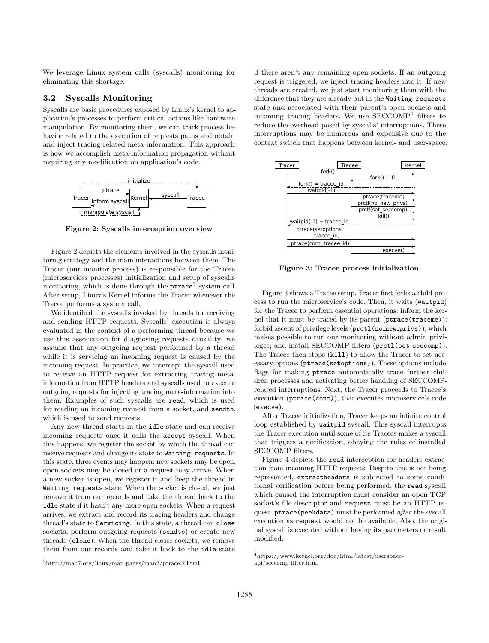We leverage Linux system calls (syscalls) monitoring for eliminating this shortage.

#### 3.2 Syscalls Monitoring

Syscalls are basic procedures exposed by Linux's kernel to application's processes to perform critical actions like hardware manipulation. By monitoring them, we can track process behavior related to the execution of requests paths and obtain and inject tracing-related meta-information. This approach is how we accomplish meta-information propagation without requiring any modification on application's code.



Figure 2: Syscalls interception overview

Figure 2 depicts the elements involved in the syscalls monitoring strategy and the main interactions between them. The Tracer (our monitor process) is responsible for the Tracee (microservices processes) initialization and setup of syscalls monitoring, which is done through the ptrace<sup>3</sup> system call. After setup, Linux's Kernel informs the Tracer whenever the Tracee performs a system call.

We identified the syscalls invoked by threads for receiving and sending HTTP requests. Syscalls' execution is always evaluated in the context of a performing thread because we use this association for diagnosing requests causality: we assume that any outgoing request performed by a thread while it is servicing an incoming request is caused by the incoming request. In practice, we intercept the syscall used to receive an HTTP request for extracting tracing metainformation from HTTP headers and syscalls used to execute outgoing requests for injecting tracing meta-information into them. Examples of such syscalls are read, which is used for reading an incoming request from a socket, and sendto, which is used to send requests.

Any new thread starts in the idle state and can receive incoming requests once it calls the accept syscall. When this happens, we register the socket by which the thread can receive requests and change its state to Waiting requests. In this state, three events may happen: new sockets may be open, open sockets may be closed or a request may arrive. When a new socket is open, we register it and keep the thread in Waiting requests state. When the socket is closed, we just remove it from our records and take the thread back to the idle state if it hasn't any more open sockets. When a request arrives, we extract and record its tracing headers and change thread's state to Servicing. In this state, a thread can close sockets, perform outgoing requests (sendto) or create new threads (clone). When the thread closes sockets, we remove them from our records and take it back to the idle state

<sup>3</sup>http://man7.org/linux/man-pages/man2/ptrace.2.html

if there aren't any remaining open sockets. If an outgoing request is triggered, we inject tracing headers into it. If new threads are created, we just start monitoring them with the difference that they are already put in the Waiting requests state and associated with their parent's open sockets and incoming tracing headers. We use SECCOMP<sup>4</sup> filters to reduce the overhead posed by syscalls' interruptions. These interruptions may be numerous and expensive due to the context switch that happens between kernel- and user-space.



Figure 3: Tracee process initialization.

Figure 3 shows a Tracee setup. Tracer first forks a child process to run the microservice's code. Then, it waits (waitpid) for the Tracee to perform essential operations: inform the kernel that it must be traced by its parent (ptrace(traceme)); forbid ascent of privilege levels (prctl(no\_new\_privs)), which makes possible to run our monitoring without admin privileges; and install SECCOMP filters (prctl(set\_seccomp)). The Tracee then stops (kill) to allow the Tracer to set necessary options (ptrace(setoptions)). These options include flags for making ptrace automatically trace further children processes and activating better handling of SECCOMPrelated interruptions. Next, the Tracer proceeds to Tracee's execution (ptrace(cont)), that executes microservice's code (execve).

After Tracee initialization, Tracer keeps an infinite control loop established by waitpid syscall. This syscall interrupts the Tracer execution until some of its Tracees makes a syscall that triggers a notification, obeying the rules of installed SECCOMP filters.

Figure 4 depicts the read interception for headers extraction from incoming HTTP requests. Despite this is not being represented, extractheaders is subjected to some conditional verification before being performed: the read syscall which caused the interruption must consider an open TCP socket's file descriptor and request must be an HTTP request. ptrace(peekdata) must be performed after the syscall execution as request would not be available. Also, the original syscall is executed without having its parameters or result modified.

 $^4$ https://www.kernel.org/doc/html/latest/userspaceapi/seccomp filter.html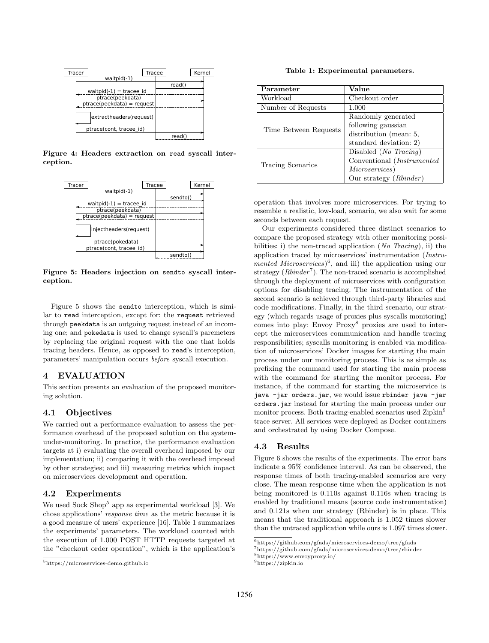

Figure 4: Headers extraction on read syscall interception.



Figure 5: Headers injection on sendto syscall interception.

Figure 5 shows the sendto interception, which is similar to read interception, except for: the request retrieved through peekdata is an outgoing request instead of an incoming one; and pokedata is used to change syscall's paremeters by replacing the original request with the one that holds tracing headers. Hence, as opposed to read's interception, parameters' manipulation occurs before syscall execution.

#### 4 EVALUATION

This section presents an evaluation of the proposed monitoring solution.

#### 4.1 Objectives

We carried out a performance evaluation to assess the performance overhead of the proposed solution on the systemunder-monitoring. In practice, the performance evaluation targets at i) evaluating the overall overhead imposed by our implementation; ii) comparing it with the overhead imposed by other strategies; and iii) measuring metrics which impact on microservices development and operation.

### 4.2 Experiments

We used Sock Shop<sup>5</sup> app as experimental workload [3]. We chose applications' response time as the metric because it is a good measure of users' experience [16]. Table 1 summarizes the experiments' parameters. The workload counted with the execution of 1.000 POST HTTP requests targeted at the "checkout order operation", which is the application's

Table 1: Experimental parameters.

| Parameter             | Value                          |
|-----------------------|--------------------------------|
| Workload              | Checkout order                 |
| Number of Requests    | 1.000                          |
| Time Between Requests | Randomly generated             |
|                       | following gaussian             |
|                       | distribution (mean: 5,         |
|                       | standard deviation: 2)         |
| Tracing Scenarios     | Disabled ( <i>No Tracing</i> ) |
|                       | Conventional (Instrumented     |
|                       | Microservices)                 |
|                       | Our strategy $(Rbinder)$       |

operation that involves more microservices. For trying to resemble a realistic, low-load, scenario, we also wait for some seconds between each request.

Our experiments considered three distinct scenarios to compare the proposed strategy with other monitoring possibilities: i) the non-traced application (No Tracing), ii) the application traced by microservices' instrumentation (Instrumented Microservices<sup>6</sup>, and iii) the application using our strategy  $(Rbinder<sup>7</sup>)$ . The non-traced scenario is accomplished through the deployment of microservices with configuration options for disabling tracing. The instrumentation of the second scenario is achieved through third-party libraries and code modifications. Finally, in the third scenario, our strategy (which regards usage of proxies plus syscalls monitoring) comes into play: Envoy Proxy<sup>8</sup> proxies are used to intercept the microservices communication and handle tracing responsibilities; syscalls monitoring is enabled via modification of microservices' Docker images for starting the main process under our monitoring process. This is as simple as prefixing the command used for starting the main process with the command for starting the monitor process. For instance, if the command for starting the microservice is java -jar orders.jar, we would issue rbinder java -jar orders.jar instead for starting the main process under our monitor process. Both tracing-enabled scenarios used Zipkin<sup>9</sup> trace server. All services were deployed as Docker containers and orchestrated by using Docker Compose.

#### 4.3 Results

Figure 6 shows the results of the experiments. The error bars indicate a 95% confidence interval. As can be observed, the response times of both tracing-enabled scenarios are very close. The mean response time when the application is not being monitored is 0.110s against 0.116s when tracing is enabled by traditional means (source code instrumentation) and 0.121s when our strategy (Rbinder) is in place. This means that the traditional approach is 1.052 times slower than the untraced application while ours is 1.097 times slower.

<sup>5</sup>https://microservices-demo.github.io

 $^6$ https://github.com/gfads/microservices-demo/tree/gfads

 $^{7}$ https://github.com/gfads/microservices-demo/tree/rbinder

<sup>8</sup>https://www.envoyproxy.io/

<sup>9</sup>https://zipkin.io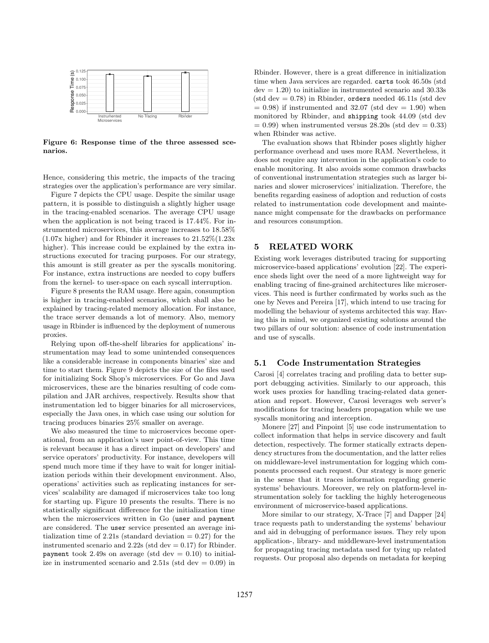

Figure 6: Response time of the three assessed scenarios.

Hence, considering this metric, the impacts of the tracing strategies over the application's performance are very similar.

Figure 7 depicts the CPU usage. Despite the similar usage pattern, it is possible to distinguish a slightly higher usage in the tracing-enabled scenarios. The average CPU usage when the application is not being traced is 17.44%. For instrumented microservices, this average increases to 18.58% (1.07x higher) and for Rbinder it increases to 21.52%(1.23x higher). This increase could be explained by the extra instructions executed for tracing purposes. For our strategy, this amount is still greater as per the syscalls monitoring. For instance, extra instructions are needed to copy buffers from the kernel- to user-space on each syscall interruption.

Figure 8 presents the RAM usage. Here again, consumption is higher in tracing-enabled scenarios, which shall also be explained by tracing-related memory allocation. For instance, the trace server demands a lot of memory. Also, memory usage in Rbinder is influenced by the deployment of numerous proxies.

Relying upon off-the-shelf libraries for applications' instrumentation may lead to some unintended consequences like a considerable increase in components binaries' size and time to start them. Figure 9 depicts the size of the files used for initializing Sock Shop's microservices. For Go and Java microservices, these are the binaries resulting of code compilation and JAR archives, respectively. Results show that instrumentation led to bigger binaries for all microservices, especially the Java ones, in which case using our solution for tracing produces binaries 25% smaller on average.

We also measured the time to microservices become operational, from an application's user point-of-view. This time is relevant because it has a direct impact on developers' and service operators' productivity. For instance, developers will spend much more time if they have to wait for longer initialization periods within their development environment. Also, operations' activities such as replicating instances for services' scalability are damaged if microservices take too long for starting up. Figure 10 presents the results. There is no statistically significant difference for the initialization time when the microservices written in Go (user and payment are considered. The user service presented an average initialization time of 2.21s (standard deviation  $= 0.27$ ) for the instrumented scenario and  $2.22s$  (std dev  $= 0.17$ ) for Rbinder. payment took 2.49s on average (std dev  $= 0.10$ ) to initialize in instrumented scenario and  $2.51s$  (std dev  $= 0.09$ ) in

Rbinder. However, there is a great difference in initialization time when Java services are regarded. carts took 46.50s (std  $dev = 1.20$ ) to initialize in instrumented scenario and  $30.33s$ (std dev  $= 0.78$ ) in Rbinder, orders needed 46.11s (std dev  $= 0.98$ ) if instrumented and 32.07 (std dev  $= 1.90$ ) when monitored by Rbinder, and shipping took 44.09 (std dev  $= 0.99$ ) when instrumented versus  $28.20s$  (std dev  $= 0.33$ ) when Rbinder was active.

The evaluation shows that Rbinder poses slightly higher performance overhead and uses more RAM. Nevertheless, it does not require any intervention in the application's code to enable monitoring. It also avoids some common drawbacks of conventional instrumentation strategies such as larger binaries and slower microservices' initialization. Therefore, the benefits regarding easiness of adoption and reduction of costs related to instrumentation code development and maintenance might compensate for the drawbacks on performance and resources consumption.

# 5 RELATED WORK

Existing work leverages distributed tracing for supporting microservice-based applications' evolution [22]. The experience sheds light over the need of a more lightweight way for enabling tracing of fine-grained architectures like microservices. This need is further confirmated by works such as the one by Neves and Pereira [17], which intend to use tracing for modelling the behaviour of systems architected this way. Having this in mind, we organized existing solutions around the two pillars of our solution: absence of code instrumentation and use of syscalls.

#### 5.1 Code Instrumentation Strategies

Carosi [4] correlates tracing and profiling data to better support debugging activities. Similarly to our approach, this work uses proxies for handling tracing-related data generation and report. However, Carosi leverages web server's modifications for tracing headers propagation while we use syscalls monitoring and interception.

Monere [27] and Pinpoint [5] use code instrumentation to collect information that helps in service discovery and fault detection, respectively. The former statically extracts dependency structures from the documentation, and the latter relies on middleware-level instrumentation for logging which components processed each request. Our strategy is more generic in the sense that it traces information regarding generic systems' behaviours. Moreover, we rely on platform-level instrumentation solely for tackling the highly heterogeneous environment of microservice-based applications.

More similar to our strategy, X-Trace [7] and Dapper [24] trace requests path to understanding the systems' behaviour and aid in debugging of performance issues. They rely upon application-, library- and middleware-level instrumentation for propagating tracing metadata used for tying up related requests. Our proposal also depends on metadata for keeping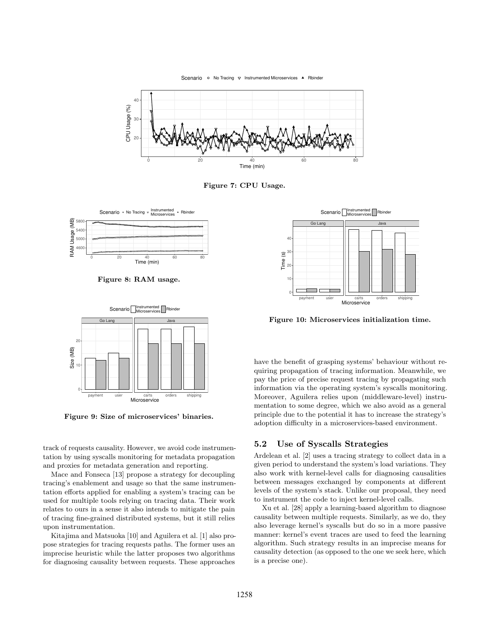Scenario • No Tracing  $\nabla$  Instrumented Microservices A Rbinder



Figure 7: CPU Usage.



Figure 8: RAM usage.



Figure 9: Size of microservices' binaries.

track of requests causality. However, we avoid code instrumentation by using syscalls monitoring for metadata propagation and proxies for metadata generation and reporting.

Mace and Fonseca [13] propose a strategy for decoupling tracing's enablement and usage so that the same instrumentation efforts applied for enabling a system's tracing can be used for multiple tools relying on tracing data. Their work relates to ours in a sense it also intends to mitigate the pain of tracing fine-grained distributed systems, but it still relies upon instrumentation.

Kitajima and Matsuoka [10] and Aguilera et al. [1] also propose strategies for tracing requests paths. The former uses an imprecise heuristic while the latter proposes two algorithms for diagnosing causality between requests. These approaches



Figure 10: Microservices initialization time.

have the benefit of grasping systems' behaviour without requiring propagation of tracing information. Meanwhile, we pay the price of precise request tracing by propagating such information via the operating system's syscalls monitoring. Moreover, Aguilera relies upon (middleware-level) instrumentation to some degree, which we also avoid as a general principle due to the potential it has to increase the strategy's adoption difficulty in a microservices-based environment.

#### 5.2 Use of Syscalls Strategies

Ardelean et al. [2] uses a tracing strategy to collect data in a given period to understand the system's load variations. They also work with kernel-level calls for diagnosing causalities between messages exchanged by components at different levels of the system's stack. Unlike our proposal, they need to instrument the code to inject kernel-level calls.

Xu et al. [28] apply a learning-based algorithm to diagnose causality between multiple requests. Similarly, as we do, they also leverage kernel's syscalls but do so in a more passive manner: kernel's event traces are used to feed the learning algorithm. Such strategy results in an imprecise means for causality detection (as opposed to the one we seek here, which is a precise one).